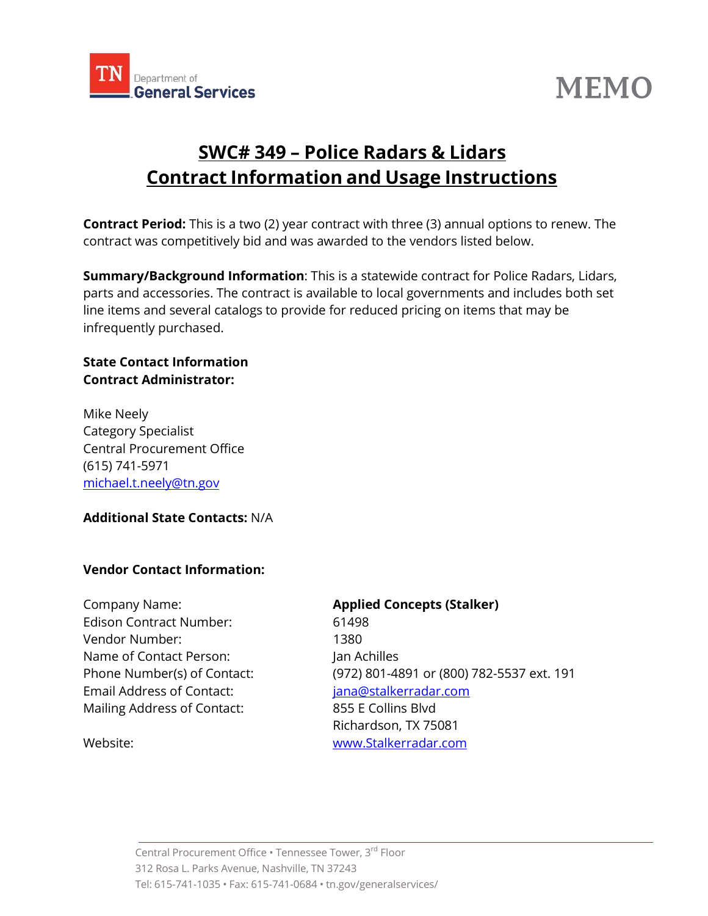

# **MEMO**

## **SWC# 349 – Police Radars & Lidars Contract Information and Usage Instructions**

**Contract Period:** This is a two (2) year contract with three (3) annual options to renew. The contract was competitively bid and was awarded to the vendors listed below.

**Summary/Background Information**: This is a statewide contract for Police Radars, Lidars, parts and accessories. The contract is available to local governments and includes both set line items and several catalogs to provide for reduced pricing on items that may be infrequently purchased.

### **State Contact Information Contract Administrator:**

Mike Neely Category Specialist Central Procurement Office (615) 741-5971 [michael.t.neely@tn.gov](mailto:michael.t.neely@tn.gov)

### **Additional State Contacts:** N/A

### **Vendor Contact Information:**

Company Name: **Applied Concepts (Stalker)** Edison Contract Number: 61498 Vendor Number: 1380 Name of Contact Person: Jan Achilles Email Address of Contact: [jana@stalkerradar.com](mailto:jana@stalkerradar.com) Mailing Address of Contact: 855 E Collins Blvd

Phone Number(s) of Contact: (972) 801-4891 or (800) 782-5537 ext. 191 Richardson, TX 75081 Website: [www.Stalkerradar.com](http://www.stalkerradar.com/)

Central Procurement Office . Tennessee Tower, 3rd Floor 312 Rosa L. Parks Avenue, Nashville, TN 37243 Tel: 615-741-1035 • Fax: 615-741-0684 • tn.gov/generalservices/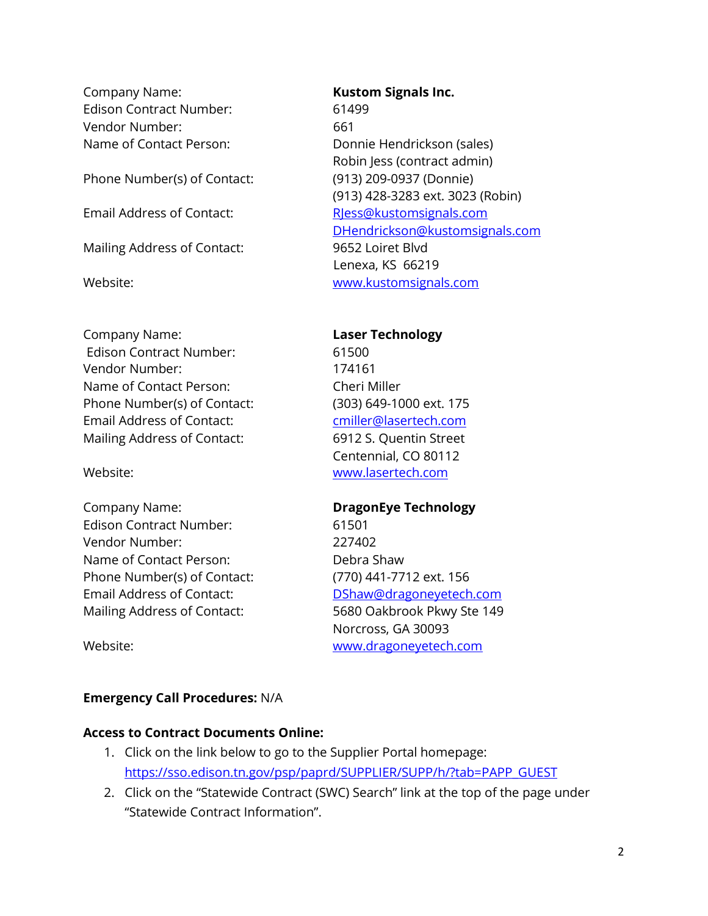Company Name: **Kustom Signals Inc.** Edison Contract Number: 61499 Vendor Number: 661

Phone Number(s) of Contact: (913) 209-0937 (Donnie)

Mailing Address of Contact: 9652 Loiret Blvd

Company Name: **Laser Technology** Edison Contract Number: 61500 Vendor Number: 174161 Name of Contact Person: Cheri Miller Phone Number(s) of Contact: (303) 649-1000 ext. 175 Email Address of Contact: [cmiller@lasertech.com](mailto:cmiller@lasertech.com) Mailing Address of Contact: 6912 S. Quentin Street

Company Name: **DragonEye Technology** Edison Contract Number: 61501 Vendor Number: 227402 Name of Contact Person: Debra Shaw Phone Number(s) of Contact: (770) 441-7712 ext. 156 Email Address of Contact: [DShaw@dragoneyetech.com](mailto:DShaw@dragoneyetech.com) Mailing Address of Contact: 5680 Oakbrook Pkwy Ste 149

Name of Contact Person: Donnie Hendrickson (sales) Robin Jess (contract admin) (913) 428-3283 ext. 3023 (Robin) Email Address of Contact: [RJess@kustomsignals.com](mailto:RJess@kustomsignals.com) [DHendrickson@kustomsignals.com](mailto:DHendrickson@kustomsignals.com) Lenexa, KS 66219 Website: [www.kustomsignals.com](http://www.kustomsignals.com/)

Centennial, CO 80112 Website: [www.lasertech.com](http://www.lasertech.com/)

Norcross, GA 30093 Website: [www.dragoneyetech.com](http://www.dragoneyetech.com/)

### **Emergency Call Procedures:** N/A

### **Access to Contract Documents Online:**

- 1. Click on the link below to go to the Supplier Portal homepage: [https://sso.edison.tn.gov/psp/paprd/SUPPLIER/SUPP/h/?tab=PAPP\\_GUEST](https://sso.edison.tn.gov/psp/paprd/SUPPLIER/SUPP/h/?tab=PAPP_GUEST)
- 2. Click on the "Statewide Contract (SWC) Search" link at the top of the page under "Statewide Contract Information".